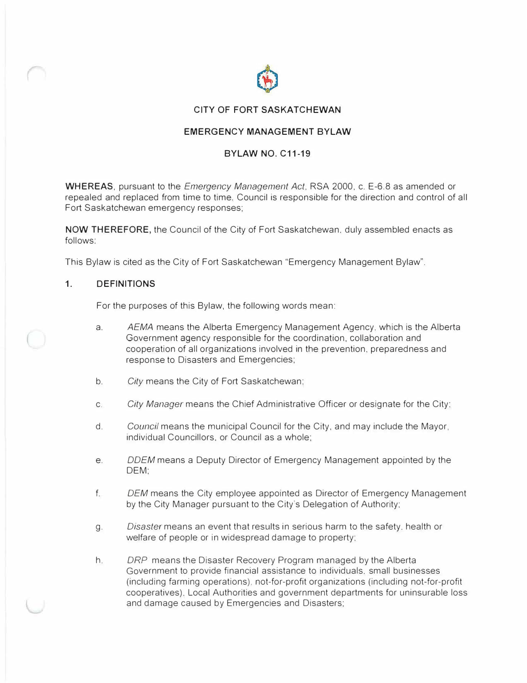

#### **CITY OF FORT SASKATCHEWAN**

### **EMERGENCY MANAGEMENT BYLAW**

### **BYLAW NO. C11-19**

**WHEREAS,** pursuant to the *Emergency Management Act,* RSA 2000, c. E-6.8 as amended or repealed and replaced from time to time. Council is responsible for the direction and control of all Fort Saskatchewan emergency responses;

**NOW THEREFORE,** the Council of the City of Fort Saskatchewan, duly assembled enacts as follows:

This Bylaw is cited as the City of Fort Saskatchewan "Emergency Management Bylaw".

#### **1.DEFINITIONS**

For the purposes of this Bylaw, the following words mean:

- a. *AEMA* means the Alberta Emergency Management Agency. which is the Alberta Government agency responsible for the coordination, collaboration and cooperation of all organizations involved in the prevention, preparedness and response to Disasters and Emergencies;
- b. *City* means the City of Fort Saskatchewan:
- c. *City Manager* means the Chief Administrative Officer or designate for the City:
- d. *Council* means the municipal Council for the City, and may include the Mayor, individual Councillors, or Council as a whole;
- e. *ODEM* means a Deputy Director of Emergency Management appointed by the DEM;
- f. *DEM* means the City employee appointed as Director of Emergency Management by the City Manager pursuant to the City·s Delegation of Authority;
- g. *Disaster* means an event that results in serious harm to the safety. health or welfare of people or in widespread damage to property:
- h. *DRP* means the Disaster Recovery Program managed by the Alberta Government to provide financial assistance to individuals. small businesses (including farming operations), not-for-profit organizations (including not-for-profit cooperatives). Local Authorities and government departments for uninsurable loss and damage caused by Emergencies and Disasters;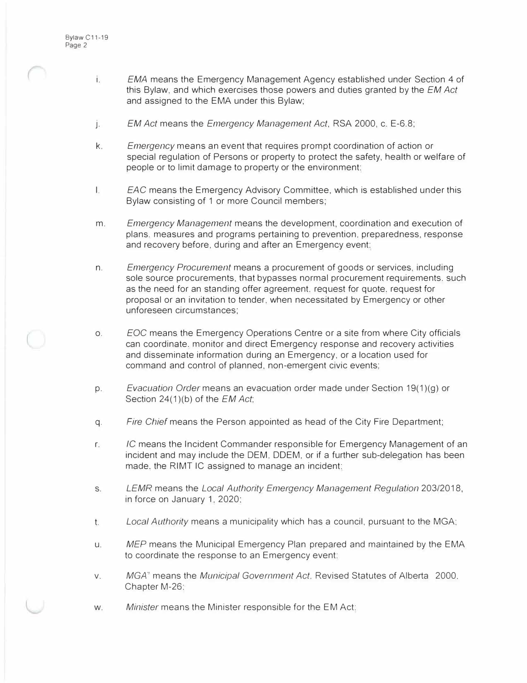- i. *EMA* means the Emergency Management Agency established under Section 4 of this Bylaw, and which exercises those powers and duties granted by the *EM Act* and assigned to the EMA under this Bylaw;
- j . *EM Act* means the *Emergency Management Act,* RSA 2000, c. E-6.8;
- k. *Emergency* means an event that requires prompt coordination of action or special regulation of Persons or property to protect the safety, health or welfare of people or to limit damage to property or the environment:
- I. *EAC* means the Emergency Advisory Committee, which is established under this Bylaw consisting of 1 or more Council members;
- m. *Emergency Management* means the development, coordination and execution of plans. measures and programs pertaining to prevention, preparedness, response and recovery before, during and after an Emergency event:
- n. *Emergency Procurement* means a procurement of goods or services, including sole source procurements, that bypasses normal procurement requirements. such as the need for an standing offer agreement. request for quote, request for proposal or an invitation to tender, when necessitated by Emergency or other unforeseen circumstances;
- o. *EOC* means the Emergency Operations Centre or a site from where City officials can coordinate. monitor and direct Emergency response and recovery activities and disseminate information during an Emergency, or a location used for command and control of planned, non-emergent civic events;
- p. *Evacuation Order* means an evacuation order made under Section 19(1)(g) or Section 24(1 )(b) of the *EM Act;*
- q. *Fire Chief* means the Person appointed as head of the City Fire Department;
- r. *IC* means the Incident Commander responsible for Emergency Management of an incident and may include the DEM, ODEM, or if a further sub-delegation has been made. the RIMT IC assigned to manage an incident:
- s. *LEMR* means the *Local Authority Emergency Management Regulation* 203/2018, in force on January 1, 2020;
- t. *Local Authority* means a municipality which has a council, pursuant to the MGA;
- u. *MEP* means the Municipal Emergency Plan prepared and maintained by the EMA to coordinate the response to an Emergency event;
- v. MGA' means the *Municipal Government Act.* Revised Statutes of Alberta 2000, Chapter M-26:
- w. *Minister* means the Minister responsible for the EM Act;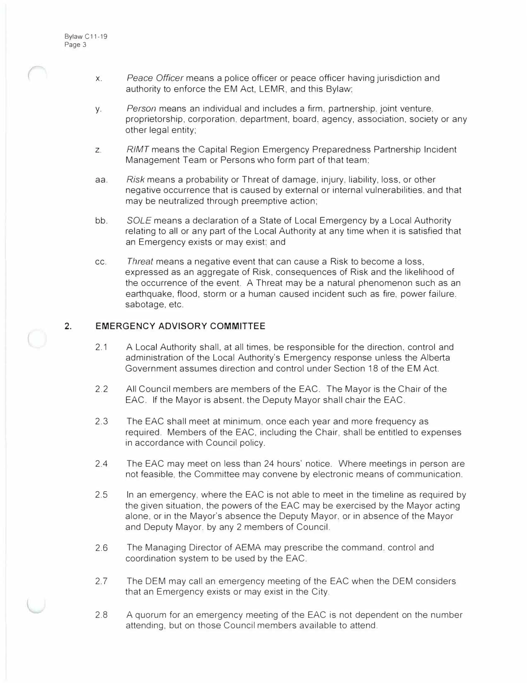- x. *Peace Officer* means a police officer or peace officer having jurisdiction and authority to enforce the EM Act, LEMR, and this Bylaw;
- y. *Person* means an individual and includes a firm, partnership. joint venture. proprietorship, corporation, department, board. agency, association, society or any other legal entity;
- z. *RIMT* means the Capital Region Emergency Preparedness Partnership Incident Management Team or Persons who form part of that team:
- aa. *Risk* means a probability or Threat of damage, injury. liability, loss, or other negative occurrence that is caused by external or internal vulnerabilities, and that may be neutralized through preemptive action;
- bb. *SOLE* means a declaration of a State of Local Emergency by a Local Authority relating to all or any part of the Local Authority at any time when it is satisfied that an Emergency exists or may exist; and
- cc. *Threat* means a negative event that can cause a Risk to become a loss, expressed as an aggregate of Risk, consequences of Risk and the likelihood of the occurrence of the event. A Threat may be a natural phenomenon such as an earthquake, flood, storm or a human caused incident such as fire. power failure. sabotage, etc.

#### **2. EMERGENCY ADVISORY COMMITTEE**

- 2.1 A Local Authority shall, at all times, be responsible for the direction, control and administration of the Local Authority's Emergency response unless the Alberta Government assumes direction and control under Section 18 of the EM Act.
- 2.2 All Council members are members of the EAC. The Mayor is the Chair of the EAC. If the Mayor is absent, the Deputy Mayor shall chair the EAC.
- 2.3 The EAC shall meet at minimum, once each year and more frequency as required. Members of the EAC, including the Chair, shall be entitled to expenses in accordance with Council policy.
- 2.4 The EAC may meet on less than 24 hours' notice. Where meetings in person are not feasible, the Committee may convene by electronic means of communication.
- 2.5 In an emergency. where the EAC is not able to meet in the timeline as required by the given situation, the powers of the EAC may be exercised by the Mayor acting alone, or in the Mayor's absence the Deputy Mayor. or in absence of the Mayor and Deputy Mayor. by any 2 members of Council.
- 2.6 The Managing Director of AEMA may prescribe the command. control and coordination system to be used by the EAC.
- 2.7 The DEM may call an emergency meeting of the EAC when the DEM considers that an Emergency exists or may exist in the City.
- 2.8 A quorum for an emergency meeting of the EAC is not dependent on the number attending, but on those Council members available to attend.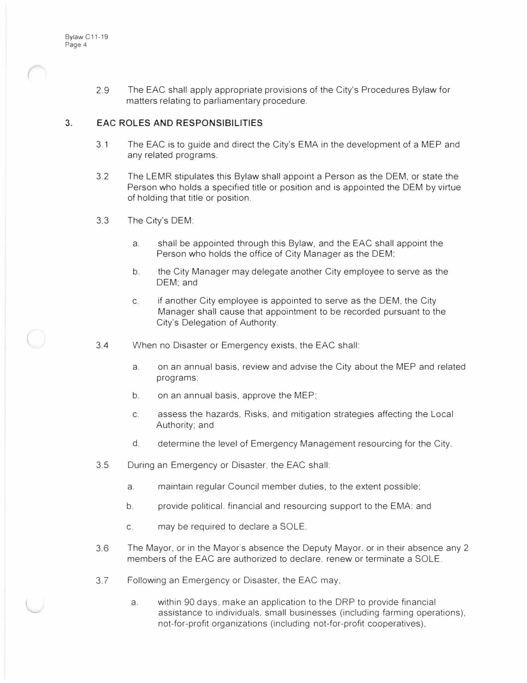2.9 The EAC shall apply appropriate provisions of the City's Procedures Bylaw for matters relating to parliamentary procedure.

#### **3. EAC ROLES AND RESPONSIBILITIES**

- 3.1 The EAC is to guide and direct the City's EMA in the development of a MEP and any related programs.
- 3.2 The LEMR stipulates this Bylaw shall appoint a Person as the DEM, or state the Person who holds a specified title or position and is appointed the DEM by virtue of holding that title or position.
- 3.3 The City's DEM:
	- a. shall be appointed through this Bylaw, and the EAC shall appoint the Person who holds the office of City Manager as the DEM;
	- b. the City Manager may delegate another City employee to serve as the DEM; and
	- c. if another City employee is appointed to serve as the DEM, the City Manager shall cause that appointment to be recorded pursuant to the City's Delegation of Authority.
- 3.4 When no Disaster or Emergency exists, the EAC shall:
	- a. on an annual basis, review and advise the City about the MEP and related programs:
	- b. on an annual basis, approve the MEP:
	- c. assess the hazards, Risks, and mitigation strategies affecting the Local Authority; and
	- d. determine the level of Emergency Management resourcing for the City.
- 3.5 During an Emergency or Disaster, the EAC shall:
	- a. maintain regular Council member duties, to the extent possible;
	- b. provide political. financial and resourcing support to the EMA: and
	- c. may be required to declare a SOLE.
- 3.6 The Mayor, or in the Mayor"s absence the Deputy Mayor, or in their absence any 2 members of the EAC are authorized to declare. renew or terminate a SOLE.
- 3.7 Following an Emergency or Disaster, the EAC may,
	- a. within 90 days. make an application to the DRP to provide financial assistance to individuals, small businesses (including farming operations), not-for-profit organizations (including not-for-profit cooperatives),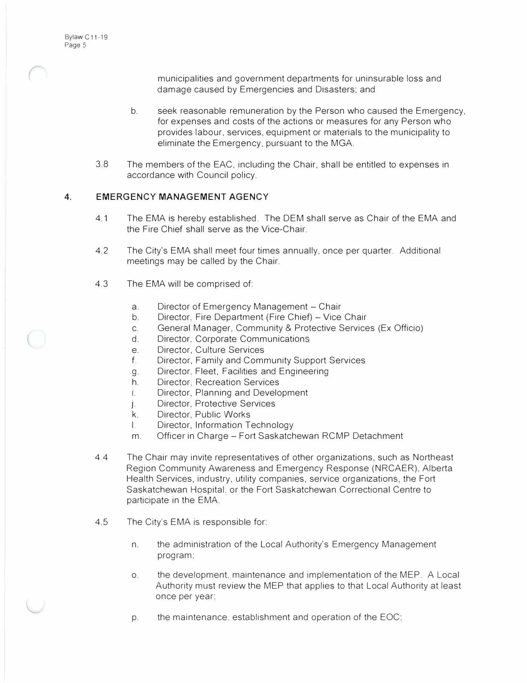municipalities and government departments for uninsurable loss and damage caused by Emergencies and Disasters; and

- b. seek reasonable remuneration by the Person who caused the Emergency, for expenses and costs of the actions or measures for any Person who provides labour, services, equipment or materials to the municipality to eliminate the Emergency, pursuant to the MGA.
- 3.8 The members of the EAC, including the Chair, shall be entitled to expenses in accordance with Council policy.

#### **4. EMERGENCY MANAGEMENT AGENCY**

- 4.1 The EMA is hereby established. The DEM shall serve as Chair of the EMA and the Fire Chief shall serve as the Vice-Chair.
- 4.2 The City's EMA shall meet four times annually, once per quarter. Additional meetings may be called by the Chair.
- 4.3 The EMA will be comprised of:
	- a. Director of Emergency Management Chair
	- b. Director, Fire Department (Fire Chief) Vice Chair
	- c. General Manager, Community & Protective Services (Ex Officio)
	- d. Director. Corporate Communications
	- e. Director, Culture Services
	- f. Director, Family and Community Support Services
	- g. Director. Fleet, Facilities and Engineering
	- h. Director. Recreation Services
	- 1. Director, Planning and Development
	- j.<br>k. . Director, Protective Services
	- Director, Public Works
	- I. Director, Information Technology
	- m. Officer in Charge Fort Saskatchewan RCMP Detachment
- 4.4 The Chair may invite representatives of other organizations, such as Northeast Region Community Awareness and Emergency Response (NRCAER), Alberta Health Services, industry, utility companies, service organizations, the Fort Saskatchewan Hospital. or the Fort Saskatchewan Correctional Centre to participate in the EMA.
- 4.5 The City's EMA is responsible for:
	- n. the administration of the Local Authority's Emergency Management program:
	- o. the development. maintenance and implementation of the MEP. A Local Authority must review the MEP that applies to that Local Authority at least once per year:
	- p. the maintenance. establishment and operation of the EOC: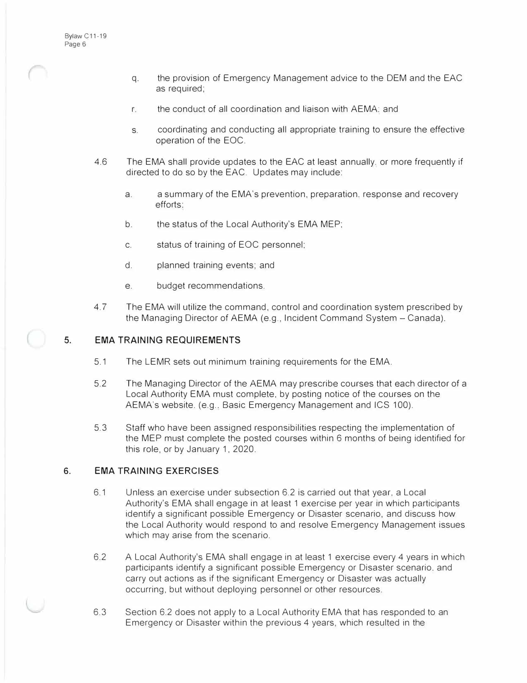- q. the provision of Emergency Management advice to the DEM and the EAC as required;
- r. the conduct of all coordination and liaison with AEMA: and
- s. coordinating and conducting all appropriate training to ensure the effective operation of the EOC.
- 4.6 The EMA shall provide updates to the EAC at least annually. or more frequently if directed to do so by the EAC. Updates may include:
	- a. a summary of the EMA's prevention, preparation. response and recovery efforts:
	- b. the status of the Local Authority's EMA MEP;
	- c. status of training of EOC personnel;
	- d. planned training events; and
	- e. budget recommendations.
- 4.7 The EMA will utilize the command, control and coordination system prescribed by the Managing Director of AEMA (e.g., Incident Command System - Canada).

#### **5. EMA TRAINING REQUIREMENTS**

- 5.1 The LEMR sets out minimum training requirements for the EMA.
- 5.2 The Managing Director of the AEMA may prescribe courses that each director of a Local Authority EMA must complete, by posting notice of the courses on the AEMA's website. (e.g., Basic Emergency Management and ICS 100).
- 5.3 Staff who have been assigned responsibilities respecting the implementation of the MEP must complete the posted courses within 6 months of being identified for this role, or by January 1, 2020.

#### **6. EMA TRAINING EXERCISES**

- 6.1 Unless an exercise under subsection 6.2 is carried out that year, a Local Authority's EMA shall engage in at least 1 exercise per year in which participants identify a significant possible Emergency or Disaster scenario, and discuss how the Local Authority would respond to and resolve Emergency Management issues which may arise from the scenario.
- 6.2 A Local Authority's EMA shall engage in at least 1 exercise *every* 4 years in which participants identify a significant possible Emergency or Disaster scenario, and carry out actions as if the significant Emergency or Disaster was actually occurring, but without deploying personnel or other resources.
- 6.3 Section 6.2 does not apply to a Local Authority EMA that has responded to an Emergency or Disaster within the previous 4 years, which resulted in the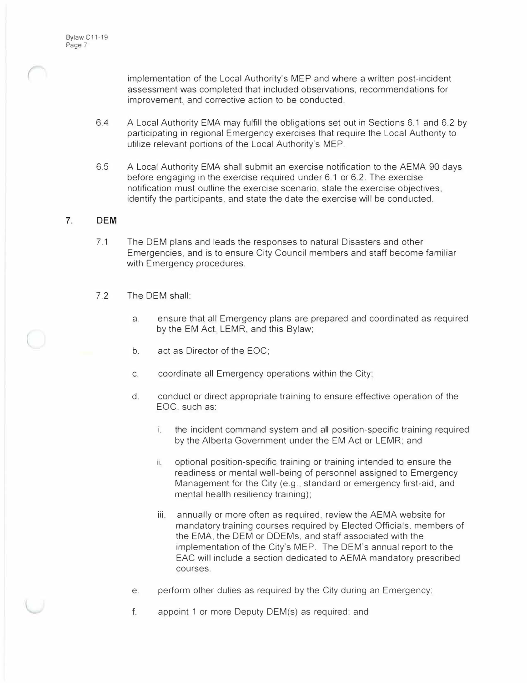implementation of the Local Authority's MEP and where a written post-incident assessment was completed that included observations, recommendations for improvement. and corrective action to be conducted.

- 6.4 A Local Authority EMA may fulfill the obligations set out in Sections 6.1 and 6.2 by participating in regional Emergency exercises that require the Local Authority to utilize relevant portions of the Local Authority's MEP.
- 6.5 A Local Authority EMA shall submit an exercise notification to the AEMA 90 days before engaging in the exercise required under 6.1 or 6.2. The exercise notification must outline the exercise scenario, state the exercise objectives, identify the participants, and state the date the exercise will be conducted.

#### **7. DEM**

- 7.1 The DEM plans and leads the responses to natural Disasters and other Emergencies, and is to ensure City Council members and staff become familiar with Emergency procedures.
- 7.2 The DEM shall:
	- a. ensure that all Emergency plans are prepared and coordinated as required by the EM Act. LEMR, and this Bylaw;
	- b. act as Director of the EOC;
	- c. coordinate all Emergency operations within the City;
	- d. conduct or direct appropriate training to ensure effective operation of the EOC, such as:
		- i. the incident command system and all position-specific training required by the Alberta Government under the EM Act or LEMR; and
		- ii. optional position-specific training or training intended to ensure the readiness or mental well-being of personnel assigned to Emergency Management for the City (e.g., standard or emergency first-aid, and mental health resiliency training);
		- iii. annually or more often as required. review the AEMA website for mandatory training courses required by Elected Officials. members of the EMA, the DEM or DDEMs, and staff associated with the implementation of the City's MEP. The OEM's annual report to the EAC will include a section dedicated to AEMA mandatory prescribed courses.
	- e. perform other duties as required by the City during an Emergency:
	- f. appoint 1 or more Deputy DEM(s) as required; and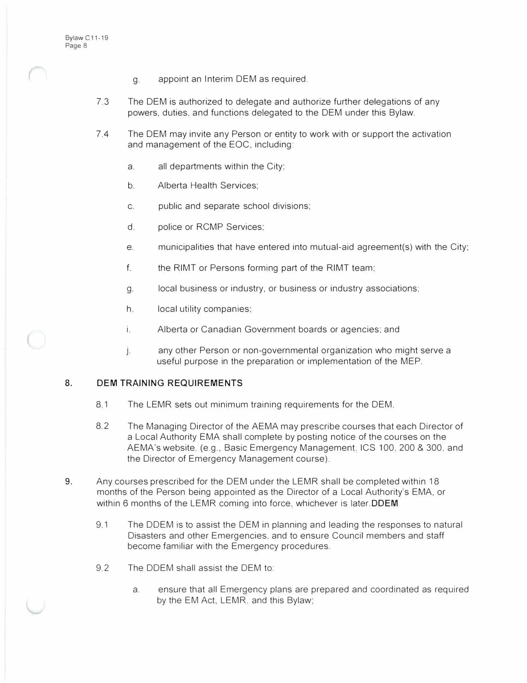- g. appoint an Interim DEM as required.
- 7.3 The DEM is authorized to delegate and authorize further delegations of any powers, duties, and functions delegated to the DEM under this Bylaw.
- 7.4 The DEM may invite any Person or entity to work with or support the activation and management of the EOC, including:
	- a. all departments within the City;
	- b. Alberta Health Services;
	- c. public and separate school divisions;
	- d. police or RCMP Services;
	- e. municipalities that have entered into mutual-aid agreement(s) with the City;
	- f. the RIMT or Persons forming part of the RIMT team;
	- g. local business or industry, or business or industry associations;
	- h. local utility companies;
	- i. Alberta or Canadian Government boards or agencies; and
	- j. any other Person or non-governmental organization who might serve a useful purpose in the preparation or implementation of the MEP.

#### **8. DEM TRAINING REQUIREMENTS**

- 8.1 The LEMR sets out minimum training requirements for the DEM.
- 8.2 The Managing Director of the AEMA may prescribe courses that each Director of a Local Authority EMA shall complete by posting notice of the courses on the AEMA's website. (e.g., Basic Emergency Management. ICS 100. 200 & 300. and the Director of Emergency Management course).
- **9.** Any courses prescribed for the DEM under the LEMR shall be completed within 18 months of the Person being appointed as the Director of a Local Authority's EMA, or within 6 months of the LEMR coming into force. whichever is **later.ODEM**
	- 9.1 The DDEM is to assist the DEM in planning and leading the responses to natural Disasters and other Emergencies, and to ensure Council members and staff become familiar with the Emergency procedures.
	- 9.2 The DDEM shall assist the DEM to:
		- a. ensure that all Emergency plans are prepared and coordinated as required by the EM Act, LEMR. and this Bylaw;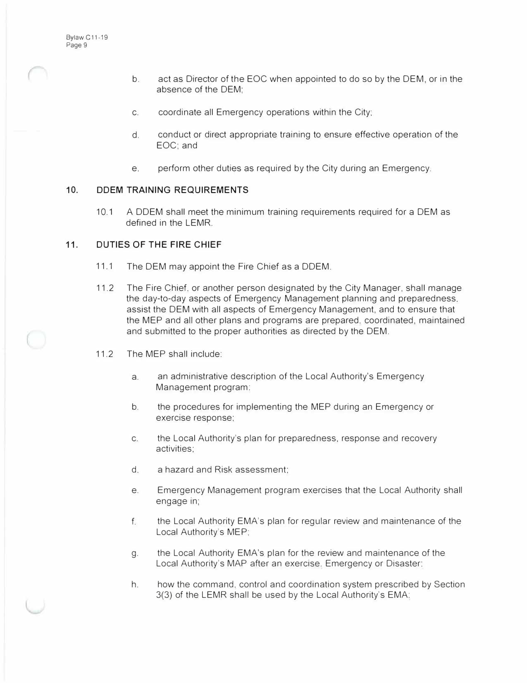- b. act as Director of the EOC when appointed to do so by the DEM, or in the absence of the DEM;
- c. coordinate all Emergency operations within the City;
- d. conduct or direct appropriate training to ensure effective operation of the EOC; and
- e. perform other duties as required by the City during an Emergency.

#### **10. ODEM TRAINING REQUIREMENTS**

10.1 A DDEM shall meet the minimum training requirements required for a DEM as defined in the LEMR.

#### **11. DUTIES OF THE FIRE CHIEF**

- 11.1 The DEM may appoint the Fire Chief as a DDEM.
- 11.2 The Fire Chief, or another person designated by the City Manager, shall manage the day-to-day aspects of Emergency Management planning and preparedness, assist the DEM with all aspects of Emergency Management, and to ensure that the MEP and all other plans and programs are prepared. coordinated, maintained and submitted to the proper authorities as directed by the DEM.
- 11.2 The MEP shall include:
	- a. an administrative description of the Local Authority's Emergency Management program:
	- b. the procedures for implementing the MEP during an Emergency or exercise response;
	- c. the Local Authority's plan for preparedness, response and recovery activities;
	- d. a hazard and Risk assessment;
	- e. Emergency Management program exercises that the Local Authority shall engage in;
	- f. the Local Authority EMA's plan for regular review and maintenance of the Local Authority's MEP;
	- g. the Local Authority EMA's plan for the review and maintenance of the Local Authority's MAP after an exercise. Emergency or Disaster;
	- h. how the command. control and coordination system prescribed by Section 3(3) of the LEMR shall be used by the Local Authority's EMA: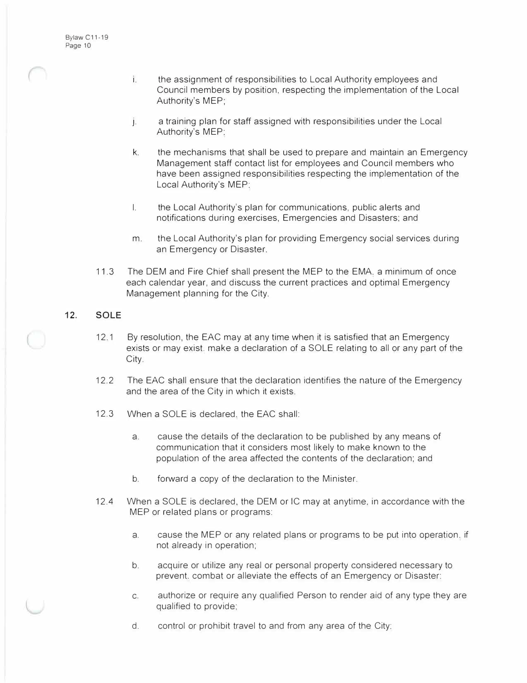- i. the assignment of responsibilities to Local Authority employees and Council members by position, respecting the implementation of the Local Authority's MEP;
- j. . a training plan for staff assigned with responsibilities under the Local Authority's MEP:
- k. the mechanisms that shall be used to prepare and maintain an Emergency Management staff contact list for employees and Council members who have been assigned responsibilities respecting the implementation of the Local Authority's MEP:
- I. the Local Authority's plan for communications, public alerts and notifications during exercises, Emergencies and Disasters; and
- m. the Local Authority's plan for providing Emergency social services during an Emergency or Disaster.
- 11.3 The DEM and Fire Chief shall present the MEP to the EMA. a minimum of once each calendar year, and discuss the current practices and optimal Emergency Management planning for the City.

### **12. SOLE**

- 12.1 By resolution, the EAC may at any time when it is satisfied that an Emergency exists or may exist. make a declaration of a SOLE relating to all or any part of the City.
- 12.2 The EAC shall ensure that the declaration identifies the nature of the Emergency and the area of the City in which it exists.
- 12.3 When a SOLE is declared. the EAC shall:
	- a. cause the details of the declaration to be published by any means of communication that it considers most likely to make known to the population of the area affected the contents of the declaration; and
	- b. forward a copy of the declaration to the Minister.
- 12.4 When a SOLE is declared, the DEM or IC may at anytime, in accordance with the MEP or related plans or programs:
	- a. cause the MEP or any related plans or programs to be put into operation. if not already in operation;
	- b. acquire or utilize any real or personal property considered necessary to prevent, combat or alleviate the effects of an Emergency or Disaster:
	- c. authorize or require any qualified Person to render aid of any type they are qualified to provide;
	- d. control or prohibit travel to and from any area of the City: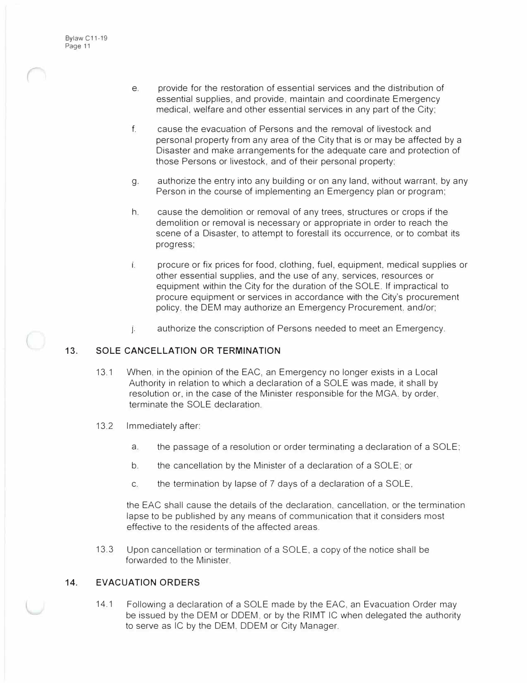- e. provide for the restoration of essential services and the distribution of essential supplies, and provide, maintain and coordinate Emergency medical, welfare and other essential services in any part of the City;
- f. cause the evacuation of Persons and the removal of livestock and personal property from any area of the City that is or may be affected by a Disaster and make arrangements for the adequate care and protection of those Persons or livestock, and of their personal property:
- g. authorize the entry into any building or on any land, without warrant, by any Person in the course of implementing an Emergency plan or program;
- h. cause the demolition or removal of any trees, structures or crops if the demolition or removal is necessary or appropriate in order to reach the scene of a Disaster, to attempt to forestall its occurrence, or to combat its progress;
- 1. procure or fix prices for food, clothing, fuel, equipment, medical supplies or other essential supplies, and the use of any, services, resources or equipment within the City for the duration of the SOLE. If impractical to procure equipment or services in accordance with the City's procurement policy. the DEM may authorize an Emergency Procurement, and/or;
- J . authorize the conscription of Persons needed to meet an Emergency.

#### **13. SOLE CANCELLATION OR TERMINATION**

- 13.1 When, in the opinion of the EAC, an Emergency no longer exists in a Local Authority in relation to which a declaration of a SOLE was made, it shall by resolution or, in the case of the Minister responsible for the MGA. by order. terminate the SOLE declaration.
- 13.2 Immediately after:
	- a. the passage of a resolution or order terminating a declaration of a SOLE;
	- b. the cancellation by the Minister of a declaration of a SOLE: or
	- c. the termination by lapse of 7 days of a declaration of a SOLE,

the EAC shall cause the details of the declaration. cancellation, or the termination lapse to be published by any means of communication that it considers most effective to the residents of the affected areas.

13.3 Upon cancellation or termination of a SOLE, a copy of the notice shall be forwarded to the Minister.

#### **14. EVACUATION ORDERS**

14.1 Following a declaration of a SOLE made by the EAC, an Evacuation Order may be issued by the DEM or ODEM, or by the RIMT IC when delegated the authority to serve as IC by the DEM. ODEM or City Manager.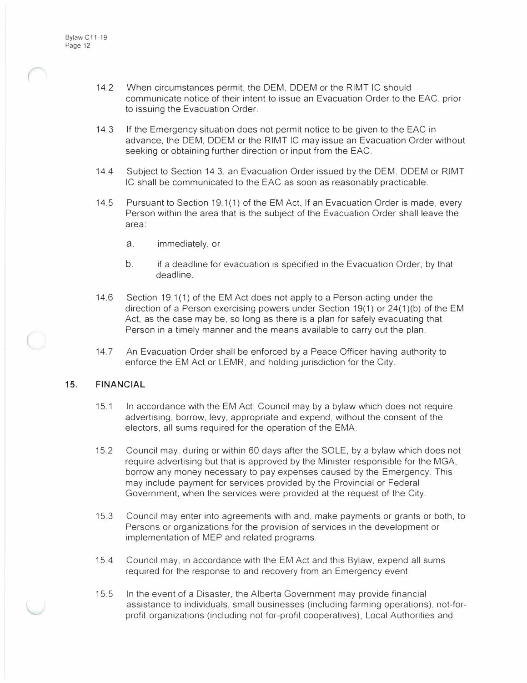- 14.2 When circumstances permit, the DEM, ODEM or the RIMT IC should communicate notice of their intent to issue an Evacuation Order to the EAC, prior to issuing the Evacuation Order.
- 14.3 If the Emergency situation does not permit notice to be given to the EAC in advance, the DEM, ODEM or the RIMT IC may issue an Evacuation Order without seeking or obtaining further direction or input from the EAC.
- 14.4 Subject to Section 14.3. an Evacuation Order issued by the DEM. ODEM or RIMT IC shall be communicated to the EAC as soon as reasonably practicable.
- 14.5 Pursuant to Section 19.1 (1) of the EM Act, If an Evacuation Order is made, every Person within the area that is the subject of the Evacuation Order shall leave the area:
	- a. immediately, or
	- b. if a deadline for evacuation is specified in the Evacuation Order, by that deadline.
- 14.6 Section 19.1(1) of the EM Act does not apply to a Person acting under the direction of a Person exercising powers under Section 19(1) or  $24(1)(b)$  of the EM Act, as the case may be, so long as there is a plan for safely evacuating that Person in a timely manner and the means available to carry out the plan.
- 14.7 An Evacuation Order shall be enforced by a Peace Officer having authority to enforce the EM Act or LEMR, and holding jurisdiction for the City.

#### **15. FINANCIAL**

- 15.1 In accordance with the EM Act, Council may by a bylaw which does not require advertising, borrow, levy, appropriate and expend, without the consent of the electors, all sums required for the operation of the EMA.
- 15.2 Council may, during or within 60 days after the SOLE, by a bylaw which does not require advertising but that is approved by the Minister responsible for the MGA, borrow any money necessary to pay expenses caused by the Emergency. This may include payment for services provided by the Provincial or Federal Government, when the services were provided at the request of the City.
- 15.3 Council may enter into agreements with and, make payments or grants or both, to Persons or organizations for the provision of services in the development or implementation of MEP and related programs.
- 15.4 Council may, in accordance with the EM Act and this Bylaw, expend all sums required for the response to and recovery from an Emergency event.
- 15.5 In the event of a Disaster, the Alberta Government may provide financial assistance to individuals. small businesses (including farming operations), not-forprofit organizations (including not for-profit cooperatives), Local Authorities and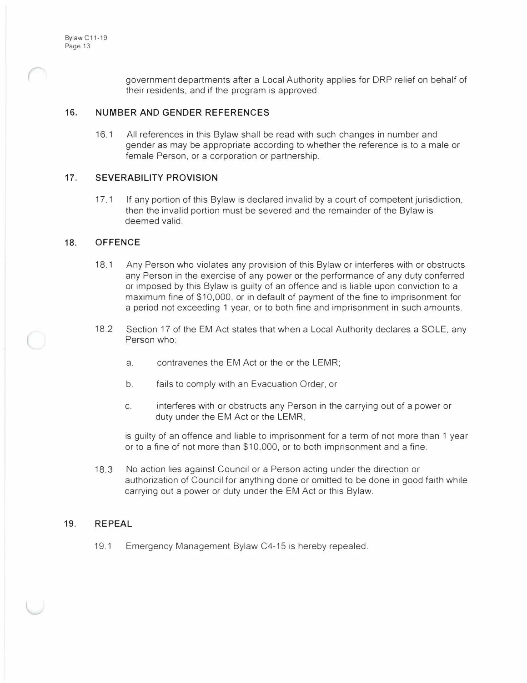government departments after a Local Authority applies for DRP relief on behalf of their residents, and if the program is approved.

#### **16. NUMBER AND GENDER REFERENCES**

16.1 All references in this Bylaw shall be read with such changes in number and gender as may be appropriate according to whether the reference is to a male or female Person, or a corporation or partnership.

#### **17. SEVERABILITY PROVISION**

17.1 If any portion of this Bylaw is declared invalid by a court of competent jurisdiction, then the invalid portion must be severed and the remainder of the Bylaw is deemed valid.

#### **18. OFFENCE**

- 18.1 Any Person who violates any provision of this Bylaw or interferes with or obstructs any Person in the exercise of any power or the performance of any duty conferred or imposed by this Bylaw is guilty of an offence and is liable upon conviction to a maximum fine of \$10,000, or in default of payment of the fine to imprisonment for a period not exceeding 1 year, or to both fine and imprisonment in such amounts.
- 18.2 Section 17 of the EM Act states that when a Local Authority declares a SOLE, any Person who:
	- a. contravenes the EM Act or the or the LEMR;
	- b. fails to comply with an Evacuation Order, or
	- c. interferes with or obstructs any Person in the carrying out of a power or duty under the EM Act or the LEMR,

is guilty of an offence and liable to imprisonment for a term of not more than 1 year or to a fine of not more than \$10,000, or to both imprisonment and a fine.

18.3 No action lies against Council or a Person acting under the direction or authorization of Council for anything done or omitted to be done in good faith while carrying out a power or duty under the EM Act or this Bylaw.

#### **19. REPEAL**

19.1 Emergency Management Bylaw C4-15 is hereby repealed.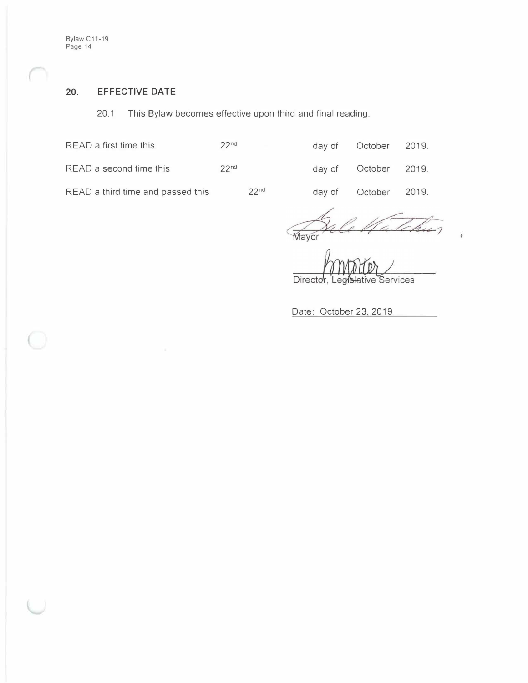Bylaw C11-19 Page 14

## **20. EFFECTIVE DATE**

20.1 This Bylaw becomes effective upon third and final reading.

| READ a first time this            | 22 <sub>nd</sub> | d. |
|-----------------------------------|------------------|----|
| READ a second time this           | 22 <sub>nd</sub> |    |
| READ a third time and passed this | 22 <sub>nd</sub> |    |

| day of | October | 2019 |
|--------|---------|------|
| day of | October | 2019 |

day of October 2019.

Mayor

Director, Legi Services slative

Date: October 23, 2019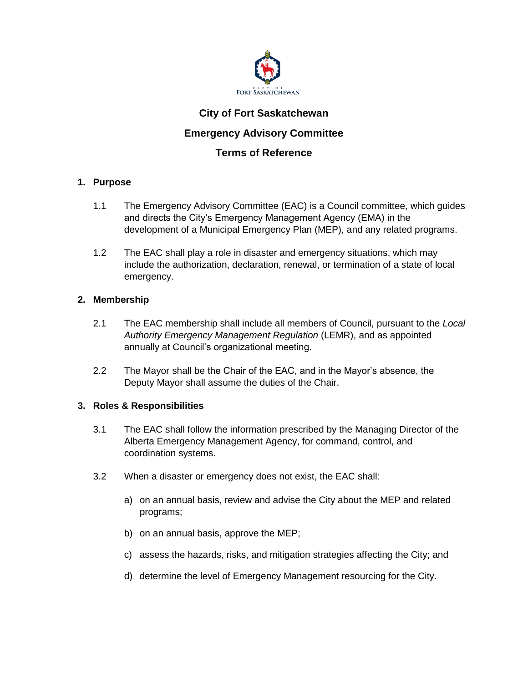

# **City of Fort Saskatchewan Emergency Advisory Committee**

# **Terms of Reference**

# **1. Purpose**

- 1.1 The Emergency Advisory Committee (EAC) is a Council committee, which guides and directs the City's Emergency Management Agency (EMA) in the development of a Municipal Emergency Plan (MEP), and any related programs.
- 1.2 The EAC shall play a role in disaster and emergency situations, which may include the authorization, declaration, renewal, or termination of a state of local emergency.

# **2. Membership**

- 2.1 The EAC membership shall include all members of Council, pursuant to the *Local Authority Emergency Management Regulation* (LEMR), and as appointed annually at Council's organizational meeting.
- 2.2 The Mayor shall be the Chair of the EAC, and in the Mayor's absence, the Deputy Mayor shall assume the duties of the Chair.

# **3. Roles & Responsibilities**

- 3.1 The EAC shall follow the information prescribed by the Managing Director of the Alberta Emergency Management Agency, for command, control, and coordination systems.
- 3.2 When a disaster or emergency does not exist, the EAC shall:
	- a) on an annual basis, review and advise the City about the MEP and related programs;
	- b) on an annual basis, approve the MEP;
	- c) assess the hazards, risks, and mitigation strategies affecting the City; and
	- d) determine the level of Emergency Management resourcing for the City.